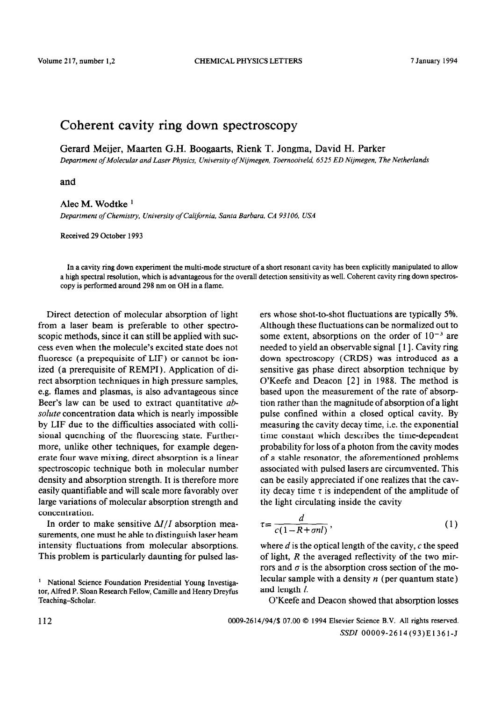## Coherent cavity ring down spectroscopy

Gerard Meijer, Maarten G.H. Boogaarts, Rienk T. Jongma, David H. Parker

Department of Molecular and Laser Physics, University of Nijmegen, Toernooiveld, 6525 ED Nijmegen, The Netherlands

and

## Alec M. Wodtke '

Department of Chemistry, University of California, Santa Barbara, CA 93106, USA

Received 29 October 1993

In a cavity ring down experiment the multi-mode structure of a short resonant cavity has been explicitly manipulated to allow a high spectral resolution, which is advantageous for the overall detection sensitivity as well. Coherent cavity ring down spectroscopy is performed around 298 nm on OH in a flame.

Direct detection of molecular absorption of light from a laser beam is preferable to other spectroscopic methods, since it can still be applied with success even when the molecule's excited state does not fluoresce (a prepequisite of LIF) or cannot be ionized (a prerequisite of REMPI). Application of direct absorption techniques in high pressure samples, e.g. flames and plasmas, is also advantageous since Beer's law can be used to extract quantitative ab*solute* concentration data which is nearly impossible by LIF due to the difficulties associated with collisional quenching of the fluorescing state. Furthermore, unlike other techniques, for example degenerate four wave mixing, direct absorption is a linear spectroscopic technique both in molecular number density and absorption strength. It is therefore more easily quantifiable and will scale more favorably over large variations of molecular absorption strength and concentration.

In order to make sensitive  $\Delta I/I$  absorption measurements, one must be able to distinguish laser beam intensity fluctuations from molecular absorptions. This problem is particularly daunting for pulsed lasers whose shot-to-shot fluctuations are typically 5%. Although these fluctuations can be normalized out to some extent, absorptions on the order of  $10^{-3}$  are needed to yield an observable signal [1]. Cavity ring down spectroscopy (CRDS) was introduced as a sensitive gas phase direct absorption technique by O'Keefe and Deacon [2] in 1988. The method is based upon the measurement of the rate of absorption rather than the magnitude of absorption of a light pulse confined within a closed optical cavity. By measuring the cavity decay time, i.e. the exponential time constant which describes the time-dependent probability for loss of a photon from the cavity modes of a stable resonator, the aforementioned problems associated with pulsed lasers are circumvented. This can be easily appreciated if one realizes that the cavity decay time  $\tau$  is independent of the amplitude of the light circulating inside the cavity

$$
\tau = \frac{d}{c(1 - R + \sigma n l)},\tag{1}
$$

where  $d$  is the optical length of the cavity,  $c$  the speed of light, *R* the averaged reflectivity of the two mirrors and  $\sigma$  is the absorption cross section of the molecular sample with a density  $n$  (per quantum state) and length  $l$ .

O'Keefe and Deacon showed that absorption losses

112 0009-2614/94/S 07.00 0 1994 Elsevier Science B.V. All rights reserved. SSDI OOOOS-2614(93)E1361-J

<sup>&</sup>lt;sup>1</sup> National Science Foundation Presidential Young Investigator, Alfred P. Sloan Research Fellow, Camille and Henry Dreyfus Teaching-Scholar.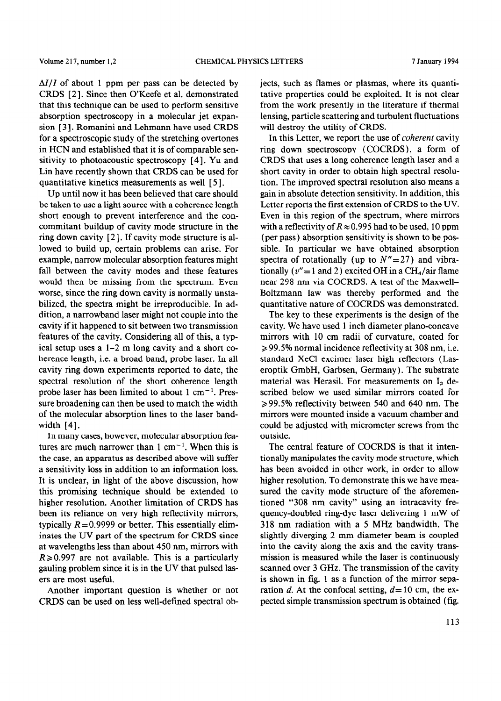$\Delta I/I$  of about 1 ppm per pass can be detected by CRDS [2]. Since then O'Keefe et al. demonstrated that this technique can be used to perform sensitive absorption spectroscopy in a molecular jet expansion [3]. Romanini and Lehmann have used CRDS for a spectroscopic study of the stretching overtones in HCN and established that it is of comparable sensitivity to photoacoustic spectroscopy  $[4]$ . Yu and Lin have recently shown that CRDS can be used for quantitative kinetics measurements as well [ 5 1.

Up until now it has been believed that care should be taken to use a light source with a coherence length short enough to prevent interference and the concommitant buildup of cavity mode structure in the ring down cavity  $[2]$ . If cavity mode structure is allowed to build up, certain problems can arise. For example, narrow molecular absorption features might fall between the cavity modes and these features would then be missing from the spectrum. Even worse, since the ring down cavity is normally unstabilized, the spectra might be irreproducible. In addition, a narrowband laser might not couple into the cavity if it happened to sit between two transmission features of the cavity. Considering all of this, a typical setup uses a l-2 m long cavity and a short coherence length, i.e. a broad band, probe laser. In all cavity ring down experiments reported to date, the spectral resolution of the short coherence length probe laser has been limited to about 1 cm<sup>-1</sup>. Pressure broadening can then be used to match the width of the molecular absorption lines to the laser bandwidth [4].

In many cases, however, molecular absorption features are much narrower than  $1 \text{ cm}^{-1}$ . When this is the case, an apparatus as described above will suffer a sensitivity loss in addition to an information loss. It is unclear, in light of the above discussion, how this promising technique should be extended to higher resolution. Another limitation of CRDS has been its reliance on very high reflectivity mirrors, typically  $R = 0.9999$  or better. This essentially eliminates the UV part of the spectrum for CRDS since at wavelengths less than about 450 nm, mirrors with  $R \geq 0.997$  are not available. This is a particularly gauling problem since it is in the UV that pulsed lasers are most useful.

Another important question is whether or not CRDS can be used on less well-defined spectral objects, such as flames or plasmas, where its quantitative properties could be exploited. It is not clear from the work presently in the literature if thermal lensing, particle scattering and turbulent fluctuations will destroy the utility of CRDS.

In this Letter, we report the use of *coherent* cavity ring down spectroscopy (COCRDS), a form of CRDS that uses a long coherence length laser and a short cavity in order to obtain high spectral resolution. The improved spectral resolution also means a gain in absolute detection sensitivity. In addition, this Letter reports the first extension of CRDS to the UV. Even in this region of the spectrum, where mirrors with a reflectivity of  $R \approx 0.995$  had to be used, 10 ppm (per pass) absorption sensitivity is shown to be possible. In particular we have obtained absorption spectra of rotationally (up to  $N''=27$ ) and vibrationally ( $v'' = 1$  and 2) excited OH in a CH<sub>4</sub>/air flame near 298 nm via COCRDS. A test of the Maxwell-Boltzmann law was thereby performed and the quantitative nature of COCRDS was demonstrated.

The key to these experiments is the design of the cavity. We have used 1 inch diameter plano-concave mirrors with 10 cm radii of curvature, coated for  $\geq$  99.5% normal incidence reflectivity at 308 nm, i.e. standard XeCl excimer laser high reflectors (Laseroptik GmbH, Garbsen, Germany). The substrate material was Herasil. For measurements on  $I_2$  described below we used similar mirrors coated for  $\geq$  99.5% reflectivity between 540 and 640 nm. The mirrors were mounted inside a vacuum chamber and could be adjusted with micrometer screws from the outside.

The central feature of COCRDS is that it intentionally manipulates the cavity mode structure, which has been avoided in other work, in order to allow higher resolution. To demonstrate this we have measured the cavity mode structure of the aforementioned "308 nm cavity" using an intracavity frequency-doubled ring-dye laser delivering 1 mW of 318 nm radiation with a 5 MHz bandwidth. The slightly diverging 2 mm diameter beam is coupled into the cavity along the axis and the cavity transmission is measured while the laser is continuously scanned over 3 GHz. The transmission of the cavity is shown in fig. 1 as a function of the mirror separation *d*. At the confocal setting,  $d=10$  cm, the expected simple transmission spectrum is obtained (fig.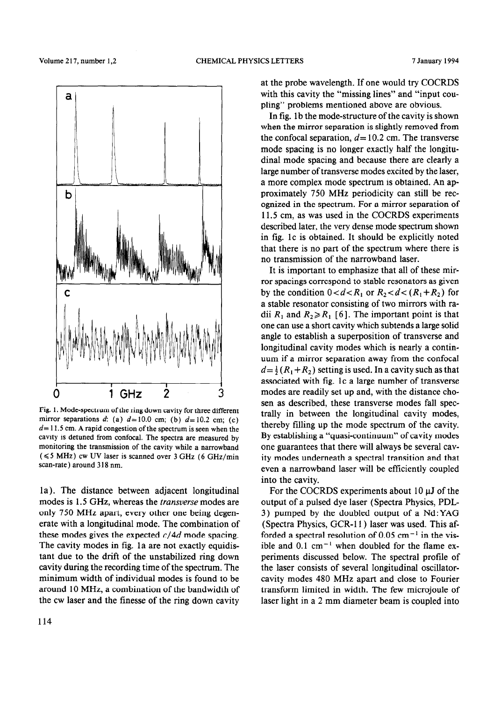

Fig. 1. Mode-spectrum of the ring down cavity for three different mirror separations d: (a)  $d=10.0$  cm; (b)  $d=10.2$  cm; (c) *d=* 11.5 cm. A rapid congestion of the spectrum is seen when the cavity is detuned from confocal. The spectra are measured by monitoring the transmission of the cavity while a narrowband  $(\leq 5$  MHz) cw UV laser is scanned over 3 GHz (6 GHz/min scan-rate) around 318 nm.

modes is 1.5 GHz, whereas the *transverse* modes are output of a pulsed dye laser (Spectra Physics, PDL only 750 MHz apart, every other one being degen- 3) pumped by the doubled output of a Nd: YAG erate with a longitudinal mode. The combination of (Spectra Physics, GCR-11) laser was used. This afthese modes gives the expected  $c/4d$  mode spacing. forded a spectral resolution of 0.05 cm<sup>-1</sup> in the vis-The cavity modes in fig. 1a are not exactly equidis- ible and 0.1 cm<sup>-1</sup> when doubled for the flame extant due to the drift of the unstabilized ring down periments discussed below. The spectral profile of cavity during the recording time of the spectrum. The the laser consists of several longitudinal oscillatorminimum width of individual modes is found to be cavity modes 480 MHz apart and close to Fourier around 10 MHz, a combination of the bandwidth of transform limited in width. The few microjoule of the cw laser and the finesse of the ring down cavity laser light in a 2 mm diameter beam is coupled into

114

at the probe wavelength. If one would try COCRDS with this cavity the "missing lines" and "input coupling" problems mentioned above are obvious.

In fig. 1b the mode-structure of the cavity is shown when the mirror separation is slightly removed from the confocal separation,  $d=10.2$  cm. The transverse mode spacing is no longer exactly half the longitudinal mode spacing and because there are clearly a large number of transverse modes excited by the laser, a more complex mode spectrum is obtained. An approximately 750 MHz periodicity can still be recognized in the spectrum. For a mirror separation of 11.5 cm, as was used in the COCRDS experiments described later, the very dense mode spectrum shown in fig. lc is obtained. It should be explicitly noted that there is no part of the spectrum where there is no transmission of the narrowband laser.

It is important to emphasize that all of these mirror spacings correspond to stable resonators as given by the condition  $0 < d < R_1$  or  $R_2 < d < (R_1 + R_2)$  for a stable resonator consisting of two mirrors with radii  $R_1$  and  $R_2 \ge R_1$  [6]. The important point is that one can use a short cavity which subtends a large solid angle to establish a superposition of transverse and longitudinal cavity modes which is nearly a continuum if a mirror separation away from the confocal  $d=\frac{1}{2}(R_1+R_2)$  setting is used. In a cavity such as that associated with fig. ic a large number of transverse modes are readily set up and, with the distance chosen as described, these transverse modes fall spectrally in between the longitudinal cavity modes, thereby filling up the mode spectrum of the cavity. By establishing a "quasi-continuum" of cavity modes one guarantees that there will always be several cavity modes underneath a spectral transition and that even a narrowband laser will be efficiently coupled into the cavity.

la). The distance between adjacent longitudinal For the COCRDS experiments about 10  $\mu$ J of the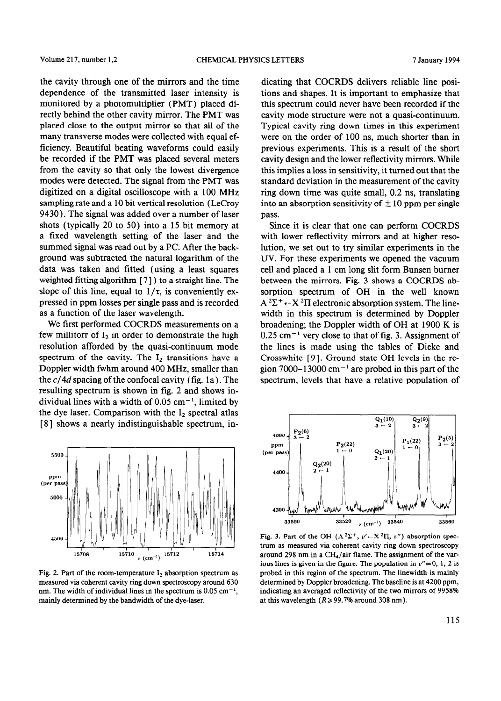the cavity through one of the mirrors and the time dependence of the transmitted laser intensity is monitored by a photomultiplier (PMT) placed directly behind the other cavity mirror. The PMT was placed close to the output mirror so that all of the many transverse modes were collected with equal efficiency. Beautiful beating waveforms could easily be recorded if the PMT was placed several meters from the cavity so that only the lowest divergence modes were detected. The signal from the PMT was digitized on a digital oscilloscope with a 100 MHz sampling rate and a 10 bit vertical resolution (LeCroy 9430). The signal was added over a number of laser shots (typically 20 to 50) into a 15 bit memory at a fixed wavelength setting of the laser and the summed signal was read out by a PC. After the background was subtracted the natural logarithm of the data was taken and fitted (using a least squares weighted fitting algorithm [ 71) to a straight line. The slope of this line, equal to  $1/\tau$ , is conveniently expressed in ppm losses per single pass and is recorded as a function of the laser wavelength.

We first performed COCRDS measurements on a few millitorr of  $I_2$  in order to demonstrate the high resolution afforded by the quasi-continuum mode spectrum of the cavity. The  $I_2$  transitions have a Doppler width fwhm around 400 MHz, smaller than the  $c/4d$  spacing of the confocal cavity (fig. 1a). The resulting spectrum is shown in fig. 2 and shows individual lines with a width of  $0.05 \text{ cm}^{-1}$ , limited by the dye laser. Comparison with the  $I_2$  spectral atlas [8] shows a nearly indistinguishable spectrum, in-



Fig. 2. Part of the room-temperature  $I_2$  absorption spectrum as measured via coherent cavity ring down spectroscopy around 630 nm. The width of individual lines in the spectrum is  $0.05 \text{ cm}^{-1}$ , mainly determined by the bandwidth of the dye-laser.

dicating that COCRDS delivers reliable line positions and shapes. It is important to emphasize that this spectrum could never have been recorded if the cavity mode structure were not a quasi-continuum. Typical cavity ring down times in this experiment were on the order of 100 ns, much shorter than in previous experiments. This is a result of the short cavity design and the lower reflectivity mirrors. While this implies a loss in sensitivity, it turned out that the standard deviation in the measurement of the cavity ring down time was quite small, 0.2 ns, translating into an absorption sensitivity of  $\pm 10$  ppm per single pass.

Since it is clear that one can perform COCRDS with lower reflectivity mirrors and at higher resolution, we set out to try similar experiments in the UV. For these experiments we opened the vacuum cell and placed a 1 cm long slit form Bunsen burner between the mirrors. Fig. 3 shows a COCRDS absorption spectrum of OH in the well known  $A^2\Sigma^+ \leftarrow X^2\Pi$  electronic absorption system. The linewidth in this spectrum is determined by Doppler broadening; the Doppler width of OH at 1900 K is  $0.25$  cm<sup>-1</sup> very close to that of fig. 3. Assignment of the lines is made using the tables of Dieke and Crosswhite [9]. Ground state OH levels in the region 7000–13000 cm<sup>-1</sup> are probed in this part of the spectrum, levels that have a relative population of



Fig. 3. Part of the OH (A<sup>2</sup> $\Sigma$ <sup>+</sup>, v' $\leftarrow$ X<sup>2</sup> $\Pi$ , v") absorption spectrum as measured via coherent cavity ring down spectroscopy around 298 nm in a CH<sub>4</sub>/air flame. The assignment of the various lines is given in the figure. The population in  $v''=0$ , 1, 2 is probed in this region of the spectrum. The linewidth is mainly determined by Doppler broadening. The baseline is at 4200 ppm, indicating an averaged reflectivity of the two mirrors of 9958% at this wavelength  $(R \ge 99.7\%$  around 308 nm).